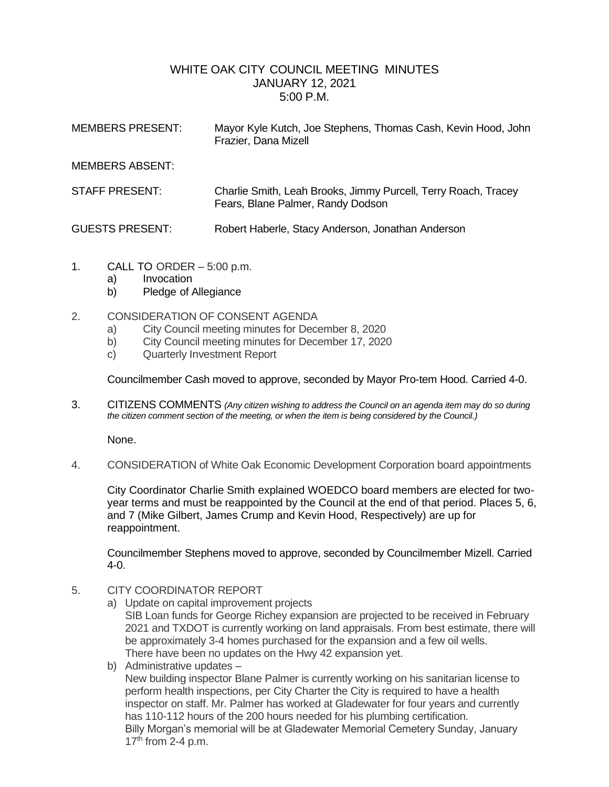## WHITE OAK CITY COUNCIL MEETING MINUTES JANUARY 12, 2021 5:00 P.M.

| <b>MEMBERS PRESENT:</b> | Mayor Kyle Kutch, Joe Stephens, Thomas Cash, Kevin Hood, John<br>Frazier, Dana Mizell               |
|-------------------------|-----------------------------------------------------------------------------------------------------|
| <b>MEMBERS ABSENT:</b>  |                                                                                                     |
| STAFF PRESENT:          | Charlie Smith, Leah Brooks, Jimmy Purcell, Terry Roach, Tracey<br>Fears, Blane Palmer, Randy Dodson |
| <b>GUESTS PRESENT:</b>  | Robert Haberle, Stacy Anderson, Jonathan Anderson                                                   |

- 1. CALL TO ORDER 5:00 p.m.
	- a) Invocation
	- b) Pledge of Allegiance
- 2. CONSIDERATION OF CONSENT AGENDA
	- a) City Council meeting minutes for December 8, 2020
	- b) City Council meeting minutes for December 17, 2020
	- c) Quarterly Investment Report

Councilmember Cash moved to approve, seconded by Mayor Pro-tem Hood. Carried 4-0.

3. CITIZENS COMMENTS *(Any citizen wishing to address the Council on an agenda item may do so during the citizen comment section of the meeting, or when the item is being considered by the Council.)*

None.

4. CONSIDERATION of White Oak Economic Development Corporation board appointments

City Coordinator Charlie Smith explained WOEDCO board members are elected for twoyear terms and must be reappointed by the Council at the end of that period. Places 5, 6, and 7 (Mike Gilbert, James Crump and Kevin Hood, Respectively) are up for reappointment.

Councilmember Stephens moved to approve, seconded by Councilmember Mizell. Carried 4-0.

- 5. CITY COORDINATOR REPORT
	- a) Update on capital improvement projects

SIB Loan funds for George Richey expansion are projected to be received in February 2021 and TXDOT is currently working on land appraisals. From best estimate, there will be approximately 3-4 homes purchased for the expansion and a few oil wells. There have been no updates on the Hwy 42 expansion yet.

b) Administrative updates – New building inspector Blane Palmer is currently working on his sanitarian license to perform health inspections, per City Charter the City is required to have a health inspector on staff. Mr. Palmer has worked at Gladewater for four years and currently has 110-112 hours of the 200 hours needed for his plumbing certification. Billy Morgan's memorial will be at Gladewater Memorial Cemetery Sunday, January  $17<sup>th</sup>$  from 2-4 p.m.